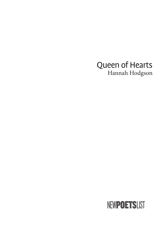## Queen of Hearts Hannah Hodgson

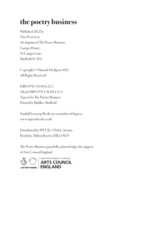# the poetry business

Published 2022 by New Poets List An imprint of The Poetry Business Campo House, 54 Campo Lane, Sheffield S1 2EG

Copyright © Hannah Hodgson 2022 All Rights Reserved

ISBN 978-1-914914-22-5 eBook ISBN 978-1-914914-23-2 Typeset by The Poetry Business Printed by Biddles, Sheffield

Smith|Doorstop Books are a member of Inpress: www.inpressbooks.co.uk

Distributed by IPS UK, 1 Deltic Avenue, Rooksley, Milton Keynes MK13 8LD

The Poetry Business gratefully acknowledges the support of Arts Council England.

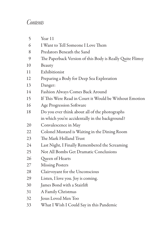### *Contents*

| 5  | Year 11                                                   |
|----|-----------------------------------------------------------|
| 6  | I Want to Tell Someone I Love Them                        |
| 8  | Predators Beneath the Sand                                |
| 9  | The Paperback Version of this Body is Really Quite Flimsy |
| 10 | Beauty                                                    |
| 11 | Exhibitionist                                             |
| 12 | Preparing a Body for Deep Sea Exploration                 |
| 13 | Danger:                                                   |
| 14 | Fashion Always Comes Back Around                          |
| 15 | If This Were Read in Court it Would be Without Emotion    |
| 16 | Age Progression Software                                  |
| 18 | Do you ever think about all of the photographs            |
|    | in which you're accidentally in the background?           |
| 20 | Convalescence in May                                      |
| 22 | Colonel Mustard is Waiting in the Dining Room             |
| 23 | The Mark Holland Trust                                    |
| 24 | Last Night, I Finally Remembered the Screaming            |
| 25 | Not All Bombs Get Dramatic Conclusions                    |
| 26 | Queen of Hearts                                           |
| 27 | <b>Missing Posters</b>                                    |
| 28 | Clairvoyant for the Unconscious                           |
| 29 | Listen, I love you. Joy is coming.                        |
| 30 | James Bond with a Stairlift                               |
| 31 | A Family Christmas                                        |
| 32 | Jesus Loved Men Too                                       |
| 33 | What I Wish I Could Say in this Pandemic                  |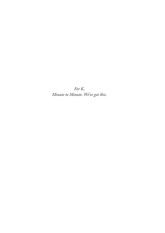*For K, Minute to Minute. We've got this.*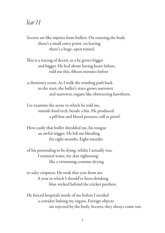#### *Year 11*

Secrets are like injuries from bullets. On entering the body there's a small entry point, on leaving there's a huge, open tunnel.

This is a tracing of deceit, as a lie grows bigger and bigger. He lied about having heart failure, told me this, fifteen minutes before

a chemistry exam. As I walk the winding path back to the start, the bullet's trace grows narrower and narrower, organs like obstructing hawthorn.

I re-examine the scene in which he told me, outside food tech, beside a bin. He produced a pill box and blood pressure cuff as proof.

How easily that bullet shredded me, his tongue an awful trigger. He left me bleeding for eight months. Eight months

of his pretending to be dying, whilst I actually was. I retained water, my skin tightening like a swimming costume drying

to salty crispness. He took that year from me. A year in which I should've been drinking blue wicked behind the cricket pavilion.

He forced hospitals inside of me before I needed a corridor linking my organs. Foreign objects are rejected by the body. Secrets, they always come out.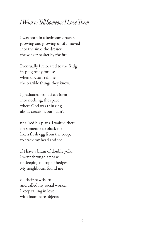### *I* Want to Tell Someone *II* ove Them

I was born in a bedroom drawer, growing and growing until I moved into the sink, the dresser, the wicker basket by the fire.

Eventually I relocated to the fridge, its plug ready for use when doctors tell me the terrible things they know.

I graduated from sixth form into nothing, the space where God was thinking about creation, but hadn't

finalised his plans. I waited there for someone to pluck me like a fresh egg from the coop, to crack my head and see

if I have a brain of double yolk. I went through a phase of sleeping on top of hedges. My neighbours found me

on their hawthorn and called my social worker. I keep falling in love with inanimate objects –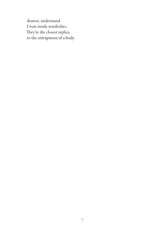dearest, understand. I wait inside wardrobes. They're the closest replica to the entrapment of a body.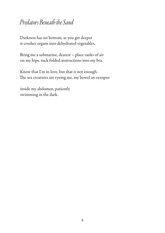### *Predators Beneath the Sand*

Darkness has no bottom, as you get deeper it crushes organs into dehydrated vegetables.

Bring me a submarine, dearest – place tanks of air on my hips, tuck folded instructions into my bra.

Know that I'm in love, but that is not enough. The sea creatures are eyeing me, my bowel an octopus

inside my abdomen, patiently swimming in the dark.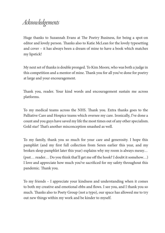## *Acknowledgements*

Huge thanks to Suzannah Evans at The Poetry Business, for being a spot-on editor and lovely person. Thanks also to Katie McLean for the lovely typesetting and cover – it has always been a dream of mine to have a book which matches my lipstick!

My next set of thanks is double pronged. To Kim Moore, who was both a judge in this competition and a mentor of mine. Thank you for all you've done for poetry at large and your encouragement.

Thank you, reader. Your kind words and encouragement sustain me across platforms.

To my medical teams across the NHS. Thank you. Extra thanks goes to the Palliative Care and Hospice teams which oversee my care. Ironically, I've done a count and you guys have saved my life the most times out of any other specialism. Gold star! That's another misconception smashed as well.

To my family, thank you so much for your care and generosity. I hope this pamphlet (and my first full collection from Seren earlier this year, and my broken sleep pamphlet later this year) explains why my room is always messy… (psst... reader... Do you think that'll get me off the hook? I doubt it somehow...) I love and appreciate how much you've sacrificed for my safety throughout this pandemic. Thank you.

To my friends – I appreciate your kindness and understanding when it comes to both my creative and emotional ebbs and flows. I see you, and I thank you so much. Thanks also to Poety Group (not a typo), our space has allowed me to try out new things within my work and be kinder to myself.